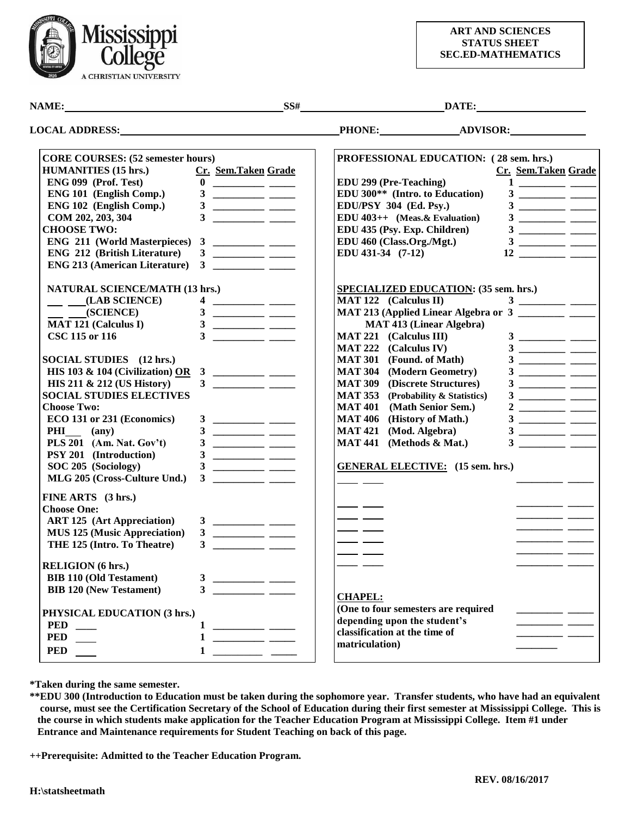

## **ART AND SCIENCES STATUS SHEET SEC.ED-MATHEMATICS**

NAME: <u>SS# DATE:</u> DATE:

| <b>LOCAL ADDRESS:</b> |  |
|-----------------------|--|
|                       |  |
|                       |  |

**LOCAL ADVISOR: LOCAL ADVISOR: LOCAL ADVISOR: LOCAL ADVISOR: LOCAL ADVISOR** 

| <b>CORE COURSES: (52 semester hours)</b>                                                                                                                                                                                                                                                                                                                                                                                                                                                                                                      | PROFESSIONAL EDUCATION: (28 sem. hrs.)                                                                                                                                                                                                                                                                                                                                                                                                                                                                          |
|-----------------------------------------------------------------------------------------------------------------------------------------------------------------------------------------------------------------------------------------------------------------------------------------------------------------------------------------------------------------------------------------------------------------------------------------------------------------------------------------------------------------------------------------------|-----------------------------------------------------------------------------------------------------------------------------------------------------------------------------------------------------------------------------------------------------------------------------------------------------------------------------------------------------------------------------------------------------------------------------------------------------------------------------------------------------------------|
| <b>HUMANITIES (15 hrs.)</b><br>Cr. Sem.Taken Grade                                                                                                                                                                                                                                                                                                                                                                                                                                                                                            | Cr. Sem.Taken Grade                                                                                                                                                                                                                                                                                                                                                                                                                                                                                             |
| $\begin{tabular}{c} 0 & \hspace{1.5cm} \rule[1.2ex]{1.1ex}{.1ex} \end{tabular}$<br>ENG 099 (Prof. Test)                                                                                                                                                                                                                                                                                                                                                                                                                                       | EDU 299 (Pre-Teaching)                                                                                                                                                                                                                                                                                                                                                                                                                                                                                          |
| ENG 101 (English Comp.)                                                                                                                                                                                                                                                                                                                                                                                                                                                                                                                       | EDU 300 <sup>**</sup> (Intro. to Education)                                                                                                                                                                                                                                                                                                                                                                                                                                                                     |
| ENG 102 (English Comp.)                                                                                                                                                                                                                                                                                                                                                                                                                                                                                                                       | EDU/PSY 304 (Ed. Psy.)                                                                                                                                                                                                                                                                                                                                                                                                                                                                                          |
| 3 <sup>1</sup><br>COM 202, 203, 304                                                                                                                                                                                                                                                                                                                                                                                                                                                                                                           | EDU $403++$ (Meas. & Evaluation)                                                                                                                                                                                                                                                                                                                                                                                                                                                                                |
| <b>CHOOSE TWO:</b>                                                                                                                                                                                                                                                                                                                                                                                                                                                                                                                            | EDU 435 (Psy. Exp. Children)<br>$3 \underline{\hspace{1cm}}$                                                                                                                                                                                                                                                                                                                                                                                                                                                    |
| <b>ENG 211 (World Masterpieces)</b><br>$\mathbf{3}$<br>$\begin{array}{cccccccccc} \multicolumn{3}{c}{} & \multicolumn{3}{c}{} & \multicolumn{3}{c}{} & \multicolumn{3}{c}{} & \multicolumn{3}{c}{} & \multicolumn{3}{c}{} & \multicolumn{3}{c}{} & \multicolumn{3}{c}{} & \multicolumn{3}{c}{} & \multicolumn{3}{c}{} & \multicolumn{3}{c}{} & \multicolumn{3}{c}{} & \multicolumn{3}{c}{} & \multicolumn{3}{c}{} & \multicolumn{3}{c}{} & \multicolumn{3}{c}{} & \multicolumn{3}{c}{} & \multicolumn{3}{c}{} & \multicolumn{3}{c}{} & \mult$ | EDU 460 (Class.Org./Mgt.)                                                                                                                                                                                                                                                                                                                                                                                                                                                                                       |
| <b>ENG 212 (British Literature)</b>                                                                                                                                                                                                                                                                                                                                                                                                                                                                                                           | EDU 431-34 (7-12)                                                                                                                                                                                                                                                                                                                                                                                                                                                                                               |
| <b>ENG 213 (American Literature)</b>                                                                                                                                                                                                                                                                                                                                                                                                                                                                                                          |                                                                                                                                                                                                                                                                                                                                                                                                                                                                                                                 |
| <b>NATURAL SCIENCE/MATH (13 hrs.)</b>                                                                                                                                                                                                                                                                                                                                                                                                                                                                                                         | <b>SPECIALIZED EDUCATION: (35 sem. hrs.)</b>                                                                                                                                                                                                                                                                                                                                                                                                                                                                    |
| $\_\_$ (LAB SCIENCE)                                                                                                                                                                                                                                                                                                                                                                                                                                                                                                                          | MAT 122 (Calculus II)                                                                                                                                                                                                                                                                                                                                                                                                                                                                                           |
| $\frac{\ }{\ }$ (SCIENCE)                                                                                                                                                                                                                                                                                                                                                                                                                                                                                                                     | MAT 213 (Applied Linear Algebra or 3                                                                                                                                                                                                                                                                                                                                                                                                                                                                            |
| <b>MAT 121 (Calculus I)</b>                                                                                                                                                                                                                                                                                                                                                                                                                                                                                                                   | <b>MAT 413 (Linear Algebra)</b>                                                                                                                                                                                                                                                                                                                                                                                                                                                                                 |
| CSC 115 or 116                                                                                                                                                                                                                                                                                                                                                                                                                                                                                                                                | <b>MAT 221</b> (Calculus III)<br>$3 \underline{\hspace{1cm}}$                                                                                                                                                                                                                                                                                                                                                                                                                                                   |
|                                                                                                                                                                                                                                                                                                                                                                                                                                                                                                                                               | MAT 222 (Calculus IV)                                                                                                                                                                                                                                                                                                                                                                                                                                                                                           |
| SOCIAL STUDIES (12 hrs.)                                                                                                                                                                                                                                                                                                                                                                                                                                                                                                                      | MAT 301 (Found. of Math)                                                                                                                                                                                                                                                                                                                                                                                                                                                                                        |
| HIS 103 & 104 (Civilization) OR                                                                                                                                                                                                                                                                                                                                                                                                                                                                                                               | <b>MAT 304</b> (Modern Geometry)                                                                                                                                                                                                                                                                                                                                                                                                                                                                                |
| HIS 211 & 212 (US History)                                                                                                                                                                                                                                                                                                                                                                                                                                                                                                                    | <b>MAT 309</b> (Discrete Structures)                                                                                                                                                                                                                                                                                                                                                                                                                                                                            |
| <b>SOCIAL STUDIES ELECTIVES</b>                                                                                                                                                                                                                                                                                                                                                                                                                                                                                                               | <b>MAT 353</b><br>(Probability & Statistics)                                                                                                                                                                                                                                                                                                                                                                                                                                                                    |
| <b>Choose Two:</b>                                                                                                                                                                                                                                                                                                                                                                                                                                                                                                                            | <b>MAT 401</b><br>(Math Senior Sem.)                                                                                                                                                                                                                                                                                                                                                                                                                                                                            |
| ECO 131 or 231 (Economics)                                                                                                                                                                                                                                                                                                                                                                                                                                                                                                                    | MAT 406 (History of Math.)                                                                                                                                                                                                                                                                                                                                                                                                                                                                                      |
| PHI (any)                                                                                                                                                                                                                                                                                                                                                                                                                                                                                                                                     | <b>MAT 421</b><br>(Mod. Algebra)                                                                                                                                                                                                                                                                                                                                                                                                                                                                                |
| PLS 201 (Am. Nat. Gov't)                                                                                                                                                                                                                                                                                                                                                                                                                                                                                                                      | MAT 441 (Methods & Mat.)                                                                                                                                                                                                                                                                                                                                                                                                                                                                                        |
| PSY 201 (Introduction)                                                                                                                                                                                                                                                                                                                                                                                                                                                                                                                        |                                                                                                                                                                                                                                                                                                                                                                                                                                                                                                                 |
| SOC 205 (Sociology)<br>3<br><u> Alexandro Alexandro de Alexandro de Alexandro de Alexandro de Alexandro de Alexandro de Alexandro de Alexandro de Alexandro de Alexandro de Alexandro de Alexandro de Alexandro de Alexandro de Alexandro de Alexandro de Al</u>                                                                                                                                                                                                                                                                              | <b>GENERAL ELECTIVE:</b> (15 sem. hrs.)                                                                                                                                                                                                                                                                                                                                                                                                                                                                         |
| MLG 205 (Cross-Culture Und.)                                                                                                                                                                                                                                                                                                                                                                                                                                                                                                                  |                                                                                                                                                                                                                                                                                                                                                                                                                                                                                                                 |
| FINE ARTS (3 hrs.)                                                                                                                                                                                                                                                                                                                                                                                                                                                                                                                            |                                                                                                                                                                                                                                                                                                                                                                                                                                                                                                                 |
| <b>Choose One:</b>                                                                                                                                                                                                                                                                                                                                                                                                                                                                                                                            |                                                                                                                                                                                                                                                                                                                                                                                                                                                                                                                 |
| <b>ART 125</b> (Art Appreciation)                                                                                                                                                                                                                                                                                                                                                                                                                                                                                                             |                                                                                                                                                                                                                                                                                                                                                                                                                                                                                                                 |
| <b>MUS 125 (Music Appreciation)</b>                                                                                                                                                                                                                                                                                                                                                                                                                                                                                                           |                                                                                                                                                                                                                                                                                                                                                                                                                                                                                                                 |
| THE 125 (Intro. To Theatre)                                                                                                                                                                                                                                                                                                                                                                                                                                                                                                                   | <u> a shekara ta 1999 a shekara t</u>                                                                                                                                                                                                                                                                                                                                                                                                                                                                           |
|                                                                                                                                                                                                                                                                                                                                                                                                                                                                                                                                               |                                                                                                                                                                                                                                                                                                                                                                                                                                                                                                                 |
| <b>RELIGION</b> (6 hrs.)                                                                                                                                                                                                                                                                                                                                                                                                                                                                                                                      |                                                                                                                                                                                                                                                                                                                                                                                                                                                                                                                 |
| <b>BIB 110 (Old Testament)</b>                                                                                                                                                                                                                                                                                                                                                                                                                                                                                                                |                                                                                                                                                                                                                                                                                                                                                                                                                                                                                                                 |
| <b>BIB 120 (New Testament)</b>                                                                                                                                                                                                                                                                                                                                                                                                                                                                                                                |                                                                                                                                                                                                                                                                                                                                                                                                                                                                                                                 |
|                                                                                                                                                                                                                                                                                                                                                                                                                                                                                                                                               | <b>CHAPEL:</b><br>(One to four semesters are required                                                                                                                                                                                                                                                                                                                                                                                                                                                           |
| PHYSICAL EDUCATION (3 hrs.)                                                                                                                                                                                                                                                                                                                                                                                                                                                                                                                   | depending upon the student's                                                                                                                                                                                                                                                                                                                                                                                                                                                                                    |
| <b>PED</b><br>$\frac{1}{2}$                                                                                                                                                                                                                                                                                                                                                                                                                                                                                                                   | classification at the time of                                                                                                                                                                                                                                                                                                                                                                                                                                                                                   |
| <b>PED</b><br>$\begin{tabular}{c} 1 & \textcolor{red}{\textbf{---}} \\ \hline \end{tabular}$                                                                                                                                                                                                                                                                                                                                                                                                                                                  | $\begin{tabular}{ll} \multicolumn{3}{c} {\textbf{1}} & \multicolumn{3}{c} {\textbf{2}} & \multicolumn{3}{c} {\textbf{3}} & \multicolumn{3}{c} {\textbf{4}} & \multicolumn{3}{c} {\textbf{5}} & \multicolumn{3}{c} {\textbf{6}} & \multicolumn{3}{c} {\textbf{6}} & \multicolumn{3}{c} {\textbf{7}} \\ \multicolumn{3}{c} {\textbf{1}} & \multicolumn{3}{c} {\textbf{1}} & \multicolumn{3}{c} {\textbf{1}} & \multicolumn{3}{c} {\textbf{1}} & \multicolumn{3}{c} {\textbf{1}} & \multicolumn$<br>matriculation) |
| <b>PED</b>                                                                                                                                                                                                                                                                                                                                                                                                                                                                                                                                    | $\overline{\phantom{a}}$                                                                                                                                                                                                                                                                                                                                                                                                                                                                                        |
|                                                                                                                                                                                                                                                                                                                                                                                                                                                                                                                                               |                                                                                                                                                                                                                                                                                                                                                                                                                                                                                                                 |

**\*Taken during the same semester.** 

**\*\*EDU 300 (Introduction to Education must be taken during the sophomore year. Transfer students, who have had an equivalent course, must see the Certification Secretary of the School of Education during their first semester at Mississippi College. This is the course in which students make application for the Teacher Education Program at Mississippi College. Item #1 under Entrance and Maintenance requirements for Student Teaching on back of this page.**

**++Prerequisite: Admitted to the Teacher Education Program.**